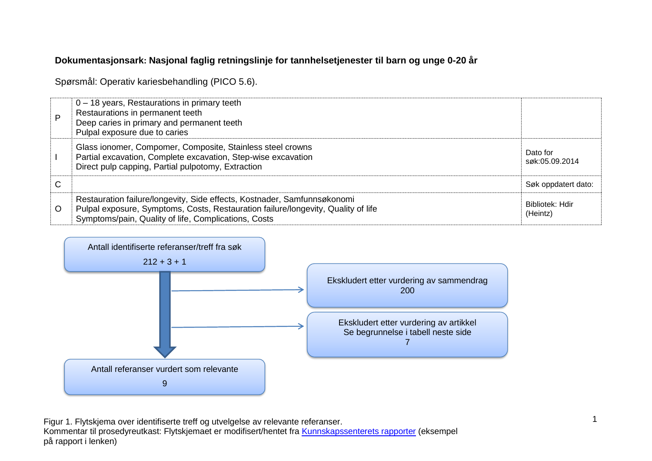## **Dokumentasjonsark: Nasjonal faglig retningslinje for tannhelsetjenester til barn og unge 0-20 år**

Spørsmål: Operativ kariesbehandling (PICO 5.6).

| D | $0 - 18$ years, Restaurations in primary teeth<br>Restaurations in permanent teeth<br>Deep caries in primary and permanent teeth<br>Pulpal exposure due to caries                                                     |                             |
|---|-----------------------------------------------------------------------------------------------------------------------------------------------------------------------------------------------------------------------|-----------------------------|
|   | Glass ionomer, Compomer, Composite, Stainless steel crowns<br>Partial excavation, Complete excavation, Step-wise excavation<br>Direct pulp capping, Partial pulpotomy, Extraction                                     | Dato for<br>søk:05.09.2014  |
| С |                                                                                                                                                                                                                       | Søk oppdatert dato:         |
| O | Restauration failure/longevity, Side effects, Kostnader, Samfunnsøkonomi<br>Pulpal exposure, Symptoms, Costs, Restauration failure/longevity, Quality of life<br>Symptoms/pain, Quality of life, Complications, Costs | Bibliotek: Hdir<br>(Heintz) |



Figur 1. Flytskjema over identifiserte treff og utvelgelse av relevante referanser. Kommentar til prosedyreutkast: Flytskjemaet er modifisert/hentet fra [Kunnskapssenterets rapporter](http://www.kunnskapssenteret.no/Publikasjoner/Depresjonsscreening+av+gravide+og+barselkvinner.17323.cms) (eksempel på rapport i lenken)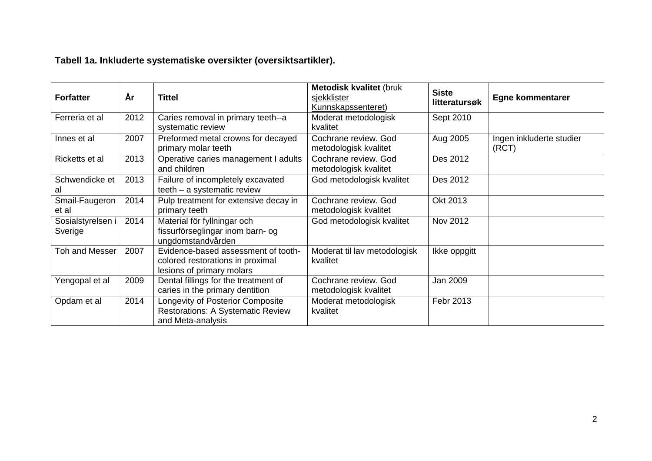| <b>Forfatter</b>             | År   | <b>Tittel</b>                                                                                        | <b>Metodisk kvalitet (bruk</b><br>sjekklister<br>Kunnskapssenteret) | <b>Siste</b><br>litteratursøk | <b>Egne kommentarer</b>           |
|------------------------------|------|------------------------------------------------------------------------------------------------------|---------------------------------------------------------------------|-------------------------------|-----------------------------------|
| Ferreria et al               | 2012 | Caries removal in primary teeth--a<br>systematic review                                              | Moderat metodologisk<br>kvalitet                                    | Sept 2010                     |                                   |
| Innes et al                  | 2007 | Preformed metal crowns for decayed<br>primary molar teeth                                            | Cochrane review. God<br>metodologisk kvalitet                       | Aug 2005                      | Ingen inkluderte studier<br>(RCT) |
| Ricketts et al               | 2013 | Operative caries management I adults<br>and children                                                 | Cochrane review. God<br>metodologisk kvalitet                       | Des 2012                      |                                   |
| Schwendicke et<br>al         | 2013 | Failure of incompletely excavated<br>teeth - a systematic review                                     | God metodologisk kvalitet                                           | Des 2012                      |                                   |
| Smail-Faugeron<br>et al      | 2014 | Pulp treatment for extensive decay in<br>primary teeth                                               | Cochrane review. God<br>metodologisk kvalitet                       | Okt 2013                      |                                   |
| Sosialstyrelsen i<br>Sverige | 2014 | Material för fyllningar och<br>fissurförseglingar inom barn- og<br>ungdomstandvården                 | God metodologisk kvalitet                                           | Nov 2012                      |                                   |
| <b>Toh and Messer</b>        | 2007 | Evidence-based assessment of tooth-<br>colored restorations in proximal<br>lesions of primary molars | Moderat til lav metodologisk<br>kvalitet                            | Ikke oppgitt                  |                                   |
| Yengopal et al               | 2009 | Dental fillings for the treatment of<br>caries in the primary dentition                              | Cochrane review. God<br>metodologisk kvalitet                       | Jan 2009                      |                                   |
| Opdam et al                  | 2014 | Longevity of Posterior Composite<br><b>Restorations: A Systematic Review</b><br>and Meta-analysis    | Moderat metodologisk<br>kvalitet                                    | Febr 2013                     |                                   |